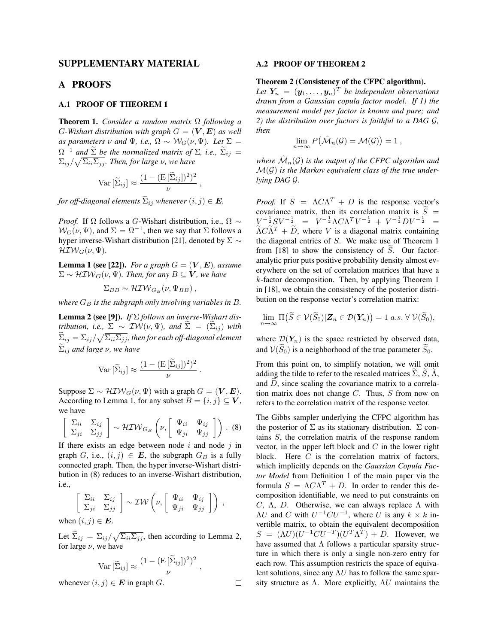## SUPPLEMENTARY MATERIAL

## A PROOFS

## A.1 PROOF OF THEOREM 1

Theorem 1. *Consider a random matrix* Ω *following a G*-Wishart distribution with graph  $G = (\mathbf{V}, \mathbf{E})$  as well *as parameters*  $\nu$  *and*  $\Psi$ *, i.e.,*  $\Omega \sim \mathcal{W}_G(\nu, \Psi)$ *. Let*  $\Sigma =$  $\Omega^{-1}$  *and*  $\tilde{\Sigma}$  *be the normalized matrix of*  $\Sigma$ *, i.e.,*  $\tilde{\Sigma}_{ij} =$  $\sum_{ij} / \sqrt{\sum_{ii} \sum_{jj}}$ . Then, for large *ν*, we have

$$
\text{Var}\left[\widetilde{\Sigma}_{ij}\right] \approx \frac{(1 - (\text{E}\left[\widetilde{\Sigma}_{ij}\right])^2)^2}{\nu},
$$

*for off-diagonal elements*  $\widetilde{\Sigma}_{ij}$  *whenever*  $(i, j) \in E$ *.* 

*Proof.* If  $\Omega$  follows a G-Wishart distribution, i.e.,  $\Omega \sim$  $\mathcal{W}_G(\nu, \Psi)$ , and  $\Sigma = \Omega^{-1}$ , then we say that  $\Sigma$  follows a hyper inverse-Wishart distribution [21], denoted by  $\Sigma \sim$  $\mathcal{H} \mathcal{IW}_G(\nu, \Psi)$ .

**Lemma 1 (see [22]).** *For a graph*  $G = (\mathbf{V}, \mathbf{E})$ *, assume*  $\Sigma \sim \mathcal{H} \mathcal{I} \mathcal{W}_G(\nu, \Psi)$ *. Then, for any*  $B \subseteq V$ *, we have* 

$$
\Sigma_{BB} \sim \mathcal{H} \mathcal{IW}_{G_B}(\nu, \Psi_{BB}),
$$

*where*  $G_B$  *is the subgraph only involving variables in*  $B$ *.* 

Lemma 2 (see [9]). *If* Σ *follows an inverse-Wishart distribution, i.e.,*  $\Sigma \sim \mathcal{IW}(\nu, \Psi)$ *, and*  $\Sigma = (\Sigma_{ij})$  *with*  $\sum_{ij}=\Sigma_{ij}/\sqrt{\Sigma_{ii}\Sigma_{jj}}$ , then for each off-diagonal element  $\Sigma_{ij}$  *and large*  $\nu$ *, we have* 

$$
\text{Var}\left[\widetilde{\Sigma}_{ij}\right] \approx \frac{(1 - (\text{E}\left[\widetilde{\Sigma}_{ij}\right])^2)^2}{\nu} \, .
$$

Suppose  $\Sigma \sim \mathcal{H} \mathcal{IW}_G(\nu, \Psi)$  with a graph  $G = (\mathbf{V}, \mathbf{E}).$ According to Lemma 1, for any subset  $B = \{i, j\} \subseteq V$ , we have

$$
\left[\begin{array}{cc} \Sigma_{ii} & \Sigma_{ij} \\ \Sigma_{ji} & \Sigma_{jj} \end{array}\right] \sim \mathcal{H} \mathcal{IW}_{G_B}\left(\nu, \left[\begin{array}{cc} \Psi_{ii} & \Psi_{ij} \\ \Psi_{ji} & \Psi_{jj} \end{array}\right]\right). (8)
$$

If there exists an edge between node  $i$  and node  $j$  in graph G, i.e.,  $(i, j) \in E$ , the subgraph  $G_B$  is a fully connected graph. Then, the hyper inverse-Wishart distribution in (8) reduces to an inverse-Wishart distribution, i.e.,

$$
\left[\begin{array}{cc} \Sigma_{ii} & \Sigma_{ij} \\ \Sigma_{ji} & \Sigma_{jj} \end{array}\right] \sim \mathcal{IW}\left(\nu, \left[\begin{array}{cc} \Psi_{ii} & \Psi_{ij} \\ \Psi_{ji} & \Psi_{jj} \end{array}\right]\right) ,
$$

when  $(i, j) \in E$ .

Let  $\Sigma_{ij} = \Sigma_{ij} / \sqrt{\Sigma_{ii} \Sigma_{jj}}$ , then according to Lemma 2, for large  $\nu$ , we have

$$
Var\left[\widetilde{\Sigma}_{ij}\right] \approx \frac{(1 - (E\left[\widetilde{\Sigma}_{ij}\right])^2)^2}{\nu},
$$

 $\Box$ 

whenever  $(i, j) \in E$  in graph  $G$ .

#### A.2 PROOF OF THEOREM 2

### Theorem 2 (Consistency of the CFPC algorithm).

Let  $Y_n = (\mathbf{y}_1, \dots, \mathbf{y}_n)^T$  be independent observations *drawn from a Gaussian copula factor model. If 1) the measurement model per factor is known and pure; and 2) the distribution over factors is faithful to a DAG* G*, then*

$$
\lim_{n\to\infty} P(\hat{\mathcal{M}}_n(\mathcal{G})=\mathcal{M}(\mathcal{G}))=1,
$$

where  $\hat{\mathcal{M}}_n(\mathcal{G})$  is the output of the CFPC algorithm and M(G) *is the Markov equivalent class of the true underlying DAG* G*.*

*Proof.* If  $S = \Lambda C \Lambda^T + D$  is the response vector's covariance matrix, then its correlation matrix is  $\tilde{S}$  =  $V^{-\frac{1}{2}}SV^{-\frac{1}{2}} = V^{-\frac{1}{2}}\Lambda C\Lambda^T V^{-\frac{1}{2}} + V^{-\frac{1}{2}}DV^{-\frac{1}{2}}$  $\widetilde{\Lambda} C \widetilde{\Lambda}^T + \widetilde{D}$ , where V is a diagonal matrix containing the diagonal entries of S. We make use of Theorem 1 from  $[18]$  to show the consistency of S. Our factoranalytic prior puts positive probability density almost everywhere on the set of correlation matrices that have a  $k$ -factor decomposition. Then, by applying Theorem 1 in [18], we obtain the consistency of the posterior distribution on the response vector's correlation matrix:

$$
\lim_{n\to\infty} \Pi\big(\widetilde{S} \in \mathcal{V}(\widetilde{S}_0) | \mathbf{Z}_n \in \mathcal{D}(\mathbf{Y}_n)\big) = 1 \text{ a.s. } \forall \mathcal{V}(\widetilde{S}_0),
$$

where  $\mathcal{D}(Y_n)$  is the space restricted by observed data, and  $V(\widetilde{S}_0)$  is a neighborhood of the true parameter  $\widetilde{S}_0$ .

From this point on, to simplify notation, we will omit adding the tilde to refer to the rescaled matrices  $\Sigma$ , S,  $\Lambda$ , and  $D$ , since scaling the covariance matrix to a correlation matrix does not change C. Thus, S from now on refers to the correlation matrix of the response vector.

The Gibbs sampler underlying the CFPC algorithm has the posterior of  $\Sigma$  as its stationary distribution.  $\Sigma$  contains S, the correlation matrix of the response random vector, in the upper left block and  $C$  in the lower right block. Here  $C$  is the correlation matrix of factors, which implicitly depends on the *Gaussian Copula Factor Model* from Definition 1 of the main paper via the formula  $S = \Lambda C \Lambda^T + D$ . In order to render this decomposition identifiable, we need to put constraints on C, Λ, D. Otherwise, we can always replace Λ with  $\Lambda U$  and C with  $U^{-1}CU^{-1}$ , where U is any  $k \times k$  invertible matrix, to obtain the equivalent decomposition  $S = (\Lambda U)(U^{-1}CU^{-T})(U^T\Lambda^T) + D$ . However, we have assumed that  $\Lambda$  follows a particular sparsity structure in which there is only a single non-zero entry for each row. This assumption restricts the space of equivalent solutions, since any  $\Lambda U$  has to follow the same sparsity structure as  $\Lambda$ . More explicitly,  $\Lambda U$  maintains the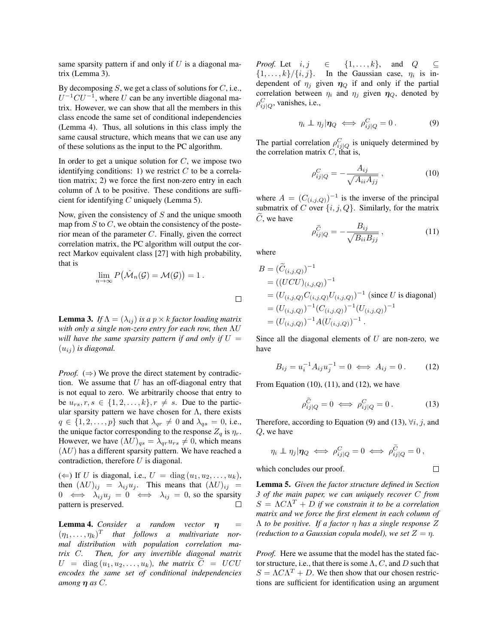same sparsity pattern if and only if  $U$  is a diagonal matrix (Lemma 3).

By decomposing  $S$ , we get a class of solutions for  $C$ , i.e.,  $U^{-1}CU^{-1}$ , where U can be any invertible diagonal matrix. However, we can show that all the members in this class encode the same set of conditional independencies (Lemma 4). Thus, all solutions in this class imply the same causal structure, which means that we can use any of these solutions as the input to the PC algorithm.

In order to get a unique solution for  $C$ , we impose two identifying conditions: 1) we restrict  $C$  to be a correlation matrix; 2) we force the first non-zero entry in each column of  $\Lambda$  to be positive. These conditions are sufficient for identifying  $C$  uniquely (Lemma 5).

Now, given the consistency of  $S$  and the unique smooth map from  $S$  to  $C$ , we obtain the consistency of the posterior mean of the parameter  $C$ . Finally, given the correct correlation matrix, the PC algorithm will output the correct Markov equivalent class [27] with high probability, that is

$$
\lim_{n\to\infty} P(\hat{\mathcal{M}}_n(\mathcal{G})=\mathcal{M}(\mathcal{G}))=1.
$$

**Lemma 3.** *If*  $\Lambda = (\lambda_{ij})$  *is a*  $p \times k$  *factor loading matrix with only a single non-zero entry for each row, then* ΛU *will have the same sparsity pattern if and only if*  $U =$  $(u_{ij})$  *is diagonal.* 

*Proof.*  $(\Rightarrow)$  We prove the direct statement by contradiction. We assume that  $U$  has an off-diagonal entry that is not equal to zero. We arbitrarily choose that entry to be  $u_{rs}, r, s \in \{1, 2, \ldots, k\}, r \neq s$ . Due to the particular sparsity pattern we have chosen for  $\Lambda$ , there exists  $q \in \{1, 2, \ldots, p\}$  such that  $\lambda_{qr} \neq 0$  and  $\lambda_{qs} = 0$ , i.e., the unique factor corresponding to the response  $Z_q$  is  $\eta_r$ . However, we have  $(\Lambda U)_{qs} = \lambda_{qr} u_{rs} \neq 0$ , which means  $(\Lambda U)$  has a different sparsity pattern. We have reached a contradiction, therefore  $U$  is diagonal.

(←) If U is diagonal, i.e.,  $U = diag(u_1, u_2, \ldots, u_k)$ , then  $(\Lambda U)_{ij} = \lambda_{ij} u_j$ . This means that  $(\Lambda U)_{ij} =$  $0 \iff \lambda_{ij} u_j = 0 \iff \lambda_{ij} = 0$ , so the sparsity pattern is preserved.  $\Box$ 

**Lemma 4.** *Consider a random vector*  $\eta$  =  $(\eta_1, \ldots, \eta_k)^T$  that follows a multivariate nor*mal distribution with population correlation matrix* C*. Then, for any invertible diagonal matrix*  $U = \text{diag}(u_1, u_2, \dots, u_k)$ , the matrix  $\tilde{C} = UCU$ *encodes the same set of conditional independencies among* η *as* C*.*

*Proof.* Let  $i, j \in \{1, ..., k\}$ , and  $Q \subseteq$  $\{1,\ldots,k\}/\{i,j\}$ . In the Gaussian case,  $\eta_i$  is independent of  $\eta_j$  given  $\eta_Q$  if and only if the partial correlation between  $\eta_i$  and  $\eta_j$  given  $\eta_Q$ , denoted by  $\rho_{ij|Q}^C$ , vanishes, i.e.,

$$
\eta_i \perp \eta_j | \eta_Q \iff \rho_{ij|Q}^C = 0 \,.
$$
 (9)

The partial correlation  $\rho_{ij|Q}^C$  is uniquely determined by the correlation matrix  $C$ , that is,

$$
\rho_{ij|Q}^C = -\frac{A_{ij}}{\sqrt{A_{ii}A_{jj}}},\qquad(10)
$$

where  $A = (C_{(i,j,Q)})^{-1}$  is the inverse of the principal submatrix of C over  $\{i, j, Q\}$ . Similarly, for the matrix  $\tilde{C}$ , we have

$$
\rho_{ij|Q}^{\widetilde{C}} = -\frac{B_{ij}}{\sqrt{B_{ii}B_{jj}}},\qquad(11)
$$

where

 $\Box$ 

$$
B = (\widetilde{C}_{(i,j,Q)})^{-1}
$$
  
=  $((UCU)_{(i,j,Q)})^{-1}$   
=  $(U_{(i,j,Q)}C_{(i,j,Q)}U_{(i,j,Q)})^{-1}$  (since *U* is diagonal)  
=  $(U_{(i,j,Q)})^{-1}(C_{(i,j,Q)})^{-1}(U_{(i,j,Q)})^{-1}$   
=  $(U_{(i,j,Q)})^{-1}A(U_{(i,j,Q)})^{-1}$ .

Since all the diagonal elements of  $U$  are non-zero, we have

$$
B_{ij} = u_i^{-1} A_{ij} u_j^{-1} = 0 \iff A_{ij} = 0.
$$
 (12)

From Equation  $(10)$ ,  $(11)$ , and  $(12)$ , we have

$$
\rho_{ij|Q}^{\widetilde{C}} = 0 \iff \rho_{ij|Q}^C = 0.
$$
 (13)

 $\Box$ 

Therefore, according to Equation (9) and (13),  $\forall i, j$ , and Q, we have

$$
\eta_i \perp \eta_j | \eta_Q \iff \rho_{ij|Q}^C = 0 \iff \rho_{ij|Q}^{\widetilde{C}} = 0 ,
$$

which concludes our proof.

Lemma 5. *Given the factor structure defined in Section 3 of the main paper, we can uniquely recover* C *from*  $S = \Lambda C \Lambda^T + D$  if we constrain it to be a correlation *matrix and we force the first element in each column of* Λ *to be positive. If a factor* η *has a single response* Z *(reduction to a Gaussian copula model), we set*  $Z = \eta$ .

*Proof.* Here we assume that the model has the stated factor structure, i.e., that there is some  $\Lambda$ , C, and D such that  $S = \Lambda C \Lambda^T + D$ . We then show that our chosen restrictions are sufficient for identification using an argument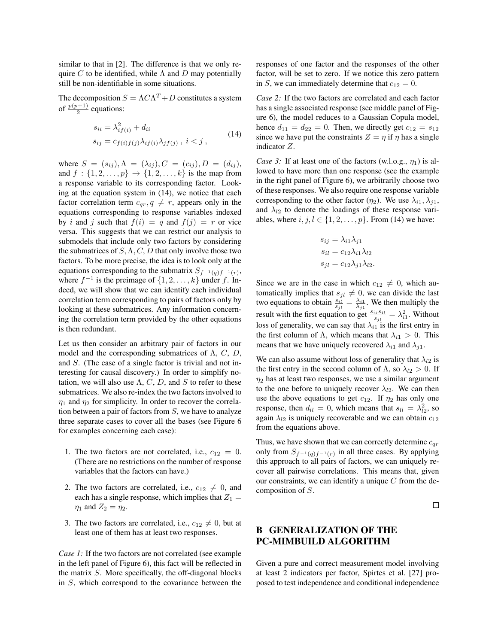similar to that in [2]. The difference is that we only require C to be identified, while  $\Lambda$  and D may potentially still be non-identifiable in some situations.

The decomposition  $S = \Lambda C \Lambda^T + D$  constitutes a system of  $\frac{p(p+1)}{2}$  equations:

$$
s_{ii} = \lambda_{if(i)}^2 + d_{ii}
$$
  
\n
$$
s_{ij} = c_{f(i)f(j)}\lambda_{if(i)}\lambda_{jf(j)}, \ i < j \,, \tag{14}
$$

where  $S = (s_{ij}), \Lambda = (\lambda_{ij}), C = (c_{ij}), D = (d_{ij}),$ and  $f : \{1, 2, ..., p\} \to \{1, 2, ..., k\}$  is the map from a response variable to its corresponding factor. Looking at the equation system in (14), we notice that each factor correlation term  $c_{qr}, q \neq r$ , appears only in the equations corresponding to response variables indexed by i and j such that  $f(i) = q$  and  $f(j) = r$  or vice versa. This suggests that we can restrict our analysis to submodels that include only two factors by considering the submatrices of  $S, \Lambda, C, D$  that only involve those two factors. To be more precise, the idea is to look only at the equations corresponding to the submatrix  $S_{f^{-1}(q)f^{-1}(r)}$ , where  $f^{-1}$  is the preimage of  $\{1, 2, \ldots, k\}$  under f. Indeed, we will show that we can identify each individual correlation term corresponding to pairs of factors only by looking at these submatrices. Any information concerning the correlation term provided by the other equations is then redundant.

Let us then consider an arbitrary pair of factors in our model and the corresponding submatrices of  $\Lambda$ ,  $C$ ,  $D$ , and S. (The case of a single factor is trivial and not interesting for causal discovery.) In order to simplify notation, we will also use  $\Lambda$ , C, D, and S to refer to these submatrices. We also re-index the two factors involved to  $\eta_1$  and  $\eta_2$  for simplicity. In order to recover the correlation between a pair of factors from  $S$ , we have to analyze three separate cases to cover all the bases (see Figure 6 for examples concerning each case):

- 1. The two factors are not correlated, i.e.,  $c_{12} = 0$ . (There are no restrictions on the number of response variables that the factors can have.)
- 2. The two factors are correlated, i.e.,  $c_{12} \neq 0$ , and each has a single response, which implies that  $Z_1 =$  $\eta_1$  and  $Z_2 = \eta_2$ .
- 3. The two factors are correlated, i.e.,  $c_{12} \neq 0$ , but at least one of them has at least two responses.

*Case 1:* If the two factors are not correlated (see example in the left panel of Figure 6), this fact will be reflected in the matrix S. More specifically, the off-diagonal blocks in S, which correspond to the covariance between the responses of one factor and the responses of the other factor, will be set to zero. If we notice this zero pattern in S, we can immediately determine that  $c_{12} = 0$ .

*Case 2:* If the two factors are correlated and each factor has a single associated response (see middle panel of Figure 6), the model reduces to a Gaussian Copula model, hence  $d_{11} = d_{22} = 0$ . Then, we directly get  $c_{12} = s_{12}$ since we have put the constraints  $Z = \eta$  if  $\eta$  has a single indicator Z.

*Case 3:* If at least one of the factors (w.l.o.g.,  $\eta_1$ ) is allowed to have more than one response (see the example in the right panel of Figure 6), we arbitrarily choose two of these responses. We also require one response variable corresponding to the other factor  $(\eta_2)$ . We use  $\lambda_{i1}, \lambda_{i1}$ , and  $\lambda_{l2}$  to denote the loadings of these response variables, where  $i, j, l \in \{1, 2, \ldots, p\}$ . From (14) we have:

$$
s_{ij} = \lambda_{i1}\lambda_{j1}
$$

$$
s_{il} = c_{12}\lambda_{i1}\lambda_{l2}
$$

$$
s_{jl} = c_{12}\lambda_{j1}\lambda_{l2}.
$$

Since we are in the case in which  $c_{12} \neq 0$ , which automatically implies that  $s_{jl} \neq 0$ , we can divide the last two equations to obtain  $\frac{s_{i\ell}}{s_{j\ell}} = \frac{\lambda_{i1}}{\lambda_{j1}}$ . We then multiply the result with the first equation to get  $\frac{s_{ij}s_{il}}{s_{jl}} = \lambda_{i1}^2$ . Without loss of generality, we can say that  $\lambda_{i1}$  is the first entry in the first column of  $\Lambda$ , which means that  $\lambda_{i1} > 0$ . This means that we have uniquely recovered  $\lambda_{i1}$  and  $\lambda_{i1}$ .

We can also assume without loss of generality that  $\lambda_{l2}$  is the first entry in the second column of  $\Lambda$ , so  $\lambda_{l2} > 0$ . If  $\eta_2$  has at least two responses, we use a similar argument to the one before to uniquely recover  $\lambda_{l2}$ . We can then use the above equations to get  $c_{12}$ . If  $\eta_2$  has only one response, then  $d_{ll} = 0$ , which means that  $s_{ll} = \lambda_{l2}^2$ , so again  $\lambda_{l2}$  is uniquely recoverable and we can obtain  $c_{12}$ from the equations above.

Thus, we have shown that we can correctly determine  $c_{qr}$ only from  $S_{f^{-1}(q)f^{-1}(r)}$  in all three cases. By applying this approach to all pairs of factors, we can uniquely recover all pairwise correlations. This means that, given our constraints, we can identify a unique  $C$  from the decomposition of S.

 $\Box$ 

## B GENERALIZATION OF THE PC-MIMBUILD ALGORITHM

Given a pure and correct measurement model involving at least 2 indicators per factor, Spirtes et al. [27] proposed to test independence and conditional independence